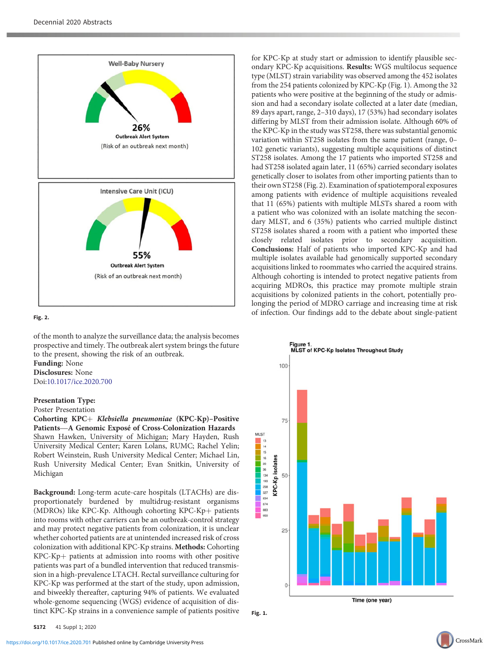

# $\mathcal{L}$

of the month to analyze the surveillance data; the analysis becomes prospective and timely. The outbreak alert system brings the future to the present, showing the risk of an outbreak.

Funding: None Disclosures: None Doi:[10.1017/ice.2020.700](https://doi.org/10.1017/ice.2020.700)

## Presentation Type:

Poster Presentation

Cohorting KPC+ Klebsiella pneumoniae (KPC-Kp)-Positive Presentation Type:<br>Poster Presentation<br>Cohorting KPC+ *Klebsiella pneumoniae* (KPC-Kp)–Positiv<br>Patients—A Genomic Exposé of Cross-Colonization Hazards Shawn Hawken, University of Michigan; Mary Hayden, Rush University Medical Center; Karen Lolans, RUMC; Rachel Yelin; Robert Weinstein, Rush University Medical Center; Michael Lin, Rush University Medical Center; Evan Snitkin, University of Michigan

Background: Long-term acute-care hospitals (LTACHs) are disproportionately burdened by multidrug-resistant organisms (MDROs) like KPC-Kp. Although cohorting KPC-Kp+ patients into rooms with other carriers can be an outbreak-control strategy and may protect negative patients from colonization, it is unclear whether cohorted patients are at unintended increased risk of cross colonization with additional KPC-Kp strains. Methods: Cohorting  $KPC-Kp+$  patients at admission into rooms with other positive patients was part of a bundled intervention that reduced transmission in a high-prevalence LTACH. Rectal surveillance culturing for KPC-Kp was performed at the start of the study, upon admission, and biweekly thereafter, capturing 94% of patients. We evaluated whole-genome sequencing (WGS) evidence of acquisition of distinct KPC-Kp strains in a convenience sample of patients positive

for KPC-Kp at study start or admission to identify plausible secondary KPC-Kp acquisitions. Results: WGS multilocus sequence type (MLST) strain variability was observed among the 452 isolates from the 254 patients colonized by KPC-Kp (Fig. 1). Among the 32 patients who were positive at the beginning of the study or admission and had a secondary isolate collected at a later date (median, 89 days apart, range, 2–310 days), 17 (53%) had secondary isolates differing by MLST from their admission isolate. Although 60% of the KPC-Kp in the study was ST258, there was substantial genomic variation within ST258 isolates from the same patient (range, 0– 102 genetic variants), suggesting multiple acquisitions of distinct ST258 isolates. Among the 17 patients who imported ST258 and had ST258 isolated again later, 11 (65%) carried secondary isolates genetically closer to isolates from other importing patients than to their own ST258 (Fig. 2). Examination of spatiotemporal exposures among patients with evidence of multiple acquisitions revealed that 11 (65%) patients with multiple MLSTs shared a room with a patient who was colonized with an isolate matching the secondary MLST, and 6 (35%) patients who carried multiple distinct ST258 isolates shared a room with a patient who imported these closely related isolates prior to secondary acquisition. Conclusions: Half of patients who imported KPC-Kp and had multiple isolates available had genomically supported secondary acquisitions linked to roommates who carried the acquired strains. Although cohorting is intended to protect negative patients from acquiring MDROs, this practice may promote multiple strain acquisitions by colonized patients in the cohort, potentially prolonging the period of MDRO carriage and increasing time at risk of infection. Our findings add to the debate about single-patient